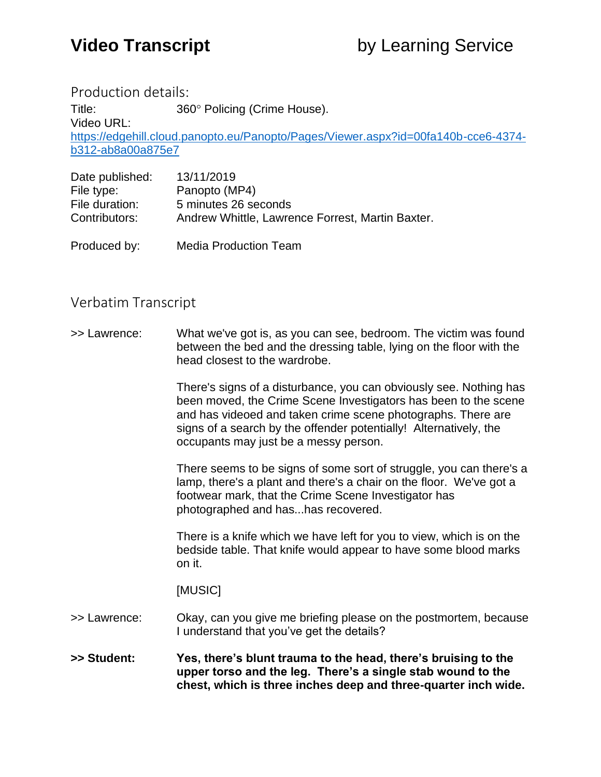Production details:

Title: 360° Policing (Crime House). Video URL: [https://edgehill.cloud.panopto.eu/Panopto/Pages/Viewer.aspx?id=00fa140b-cce6-4374](https://edgehill.cloud.panopto.eu/Panopto/Pages/Viewer.aspx?id=00fa140b-cce6-4374-b312-ab8a00a875e7) [b312-ab8a00a875e7](https://edgehill.cloud.panopto.eu/Panopto/Pages/Viewer.aspx?id=00fa140b-cce6-4374-b312-ab8a00a875e7)

| Date published: | 13/11/2019                                       |
|-----------------|--------------------------------------------------|
| File type:      | Panopto (MP4)                                    |
| File duration:  | 5 minutes 26 seconds                             |
| Contributors:   | Andrew Whittle, Lawrence Forrest, Martin Baxter. |
|                 |                                                  |

Produced by: Media Production Team

## Verbatim Transcript

>> Lawrence: What we've got is, as you can see, bedroom. The victim was found between the bed and the dressing table, lying on the floor with the head closest to the wardrobe.

> There's signs of a disturbance, you can obviously see. Nothing has been moved, the Crime Scene Investigators has been to the scene and has videoed and taken crime scene photographs. There are signs of a search by the offender potentially! Alternatively, the occupants may just be a messy person.

> There seems to be signs of some sort of struggle, you can there's a lamp, there's a plant and there's a chair on the floor. We've got a footwear mark, that the Crime Scene Investigator has photographed and has...has recovered.

There is a knife which we have left for you to view, which is on the bedside table. That knife would appear to have some blood marks on it.

[MUSIC]

- >> Lawrence: Okay, can you give me briefing please on the postmortem, because I understand that you've get the details?
- **>> Student: Yes, there's blunt trauma to the head, there's bruising to the upper torso and the leg. There's a single stab wound to the chest, which is three inches deep and three-quarter inch wide.**